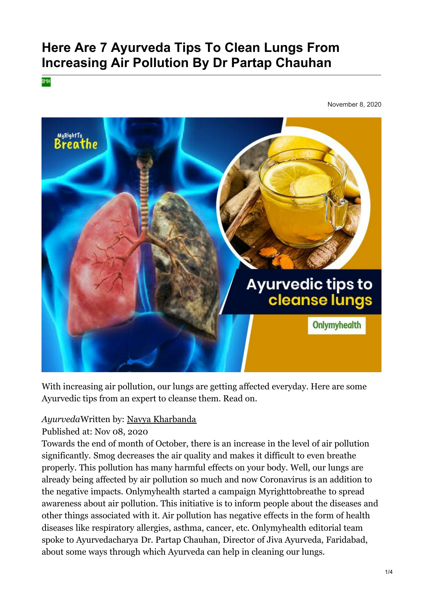# **Here Are 7 Ayurveda Tips To Clean Lungs From Increasing Air Pollution By Dr Partap Chauhan**

OMH

November 8, 2020



With increasing air pollution, our lungs are getting affected everyday. Here are some Ayurvedic tips from an expert to cleanse them. Read on.

#### *Ayurveda*Written by: [Navya Kharbanda](https://www.onlymyhealth.com/author/navya-kharbanda-1491456874)

Published at: Nov 08, 2020

Towards the end of month of October, there is an increase in the level of air pollution significantly. Smog decreases the air quality and makes it difficult to even breathe properly. This pollution has many harmful effects on your body. Well, our lungs are already being affected by air pollution so much and now Coronavirus is an addition to the negative impacts. Onlymyhealth started a campaign Myrighttobreathe to spread awareness about air pollution. This initiative is to inform people about the diseases and other things associated with it. Air pollution has negative effects in the form of health diseases like respiratory allergies, asthma, cancer, etc. Onlymyhealth editorial team spoke to Ayurvedacharya Dr. Partap Chauhan, Director of Jiva Ayurveda, Faridabad, about some ways through which Ayurveda can help in cleaning our lungs.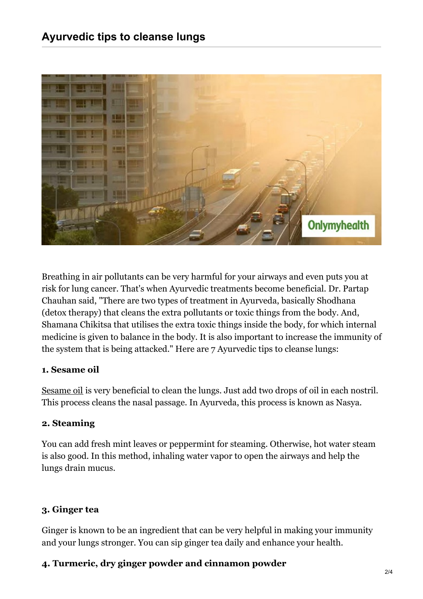

Breathing in air pollutants can be very harmful for your airways and even puts you at risk for lung cancer. That's when Ayurvedic treatments become beneficial. Dr. Partap Chauhan said, "There are two types of treatment in Ayurveda, basically Shodhana (detox therapy) that cleans the extra pollutants or toxic things from the body. And, Shamana Chikitsa that utilises the extra toxic things inside the body, for which internal medicine is given to balance in the body. It is also important to increase the immunity of the system that is being attacked." Here are 7 Ayurvedic tips to cleanse lungs:

#### **1. Sesame oil**

[Sesame oil](https://www.onlymyhealth.com/benefits-of-taking-sesame-oil-bath-1588763822) is very beneficial to clean the lungs. Just add two drops of oil in each nostril. This process cleans the nasal passage. In Ayurveda, this process is known as Nasya.

#### **2. Steaming**

You can add fresh mint leaves or peppermint for steaming. Otherwise, hot water steam is also good. In this method, inhaling water vapor to open the airways and help the lungs drain mucus.

#### **3. Ginger tea**

Ginger is known to be an ingredient that can be very helpful in making your immunity and your lungs stronger. You can sip ginger tea daily and enhance your health.

#### **4. Turmeric, dry ginger powder and cinnamon powder**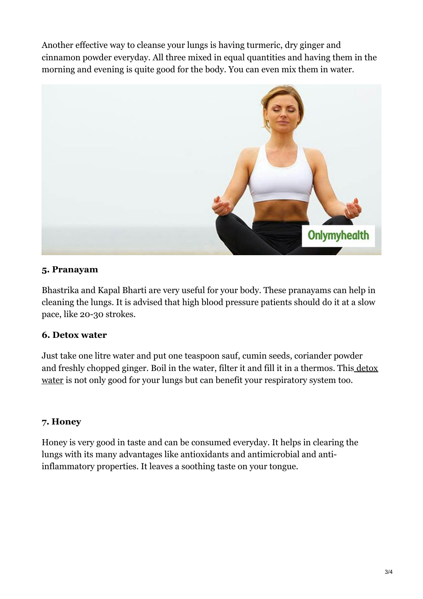Another effective way to cleanse your lungs is having turmeric, dry ginger and cinnamon powder everyday. All three mixed in equal quantities and having them in the morning and evening is quite good for the body. You can even mix them in water.



## **5. Pranayam**

Bhastrika and Kapal Bharti are very useful for your body. These pranayams can help in cleaning the lungs. It is advised that high blood pressure patients should do it at a slow pace, like 20-30 strokes.

## **6. Detox water**

Just take one litre water and put one teaspoon sauf, cumin seeds, coriander powder [and freshly chopped ginger. Boil in the water, filter it and fill it in a thermos. This detox](https://www.onlymyhealth.com/infused-water-for-detoxification-7-amazing-detox-water-recipes-for-you-1564578360) water is not only good for your lungs but can benefit your respiratory system too.

### **7. Honey**

Honey is very good in taste and can be consumed everyday. It helps in clearing the lungs with its many advantages like antioxidants and antimicrobial and antiinflammatory properties. It leaves a soothing taste on your tongue.